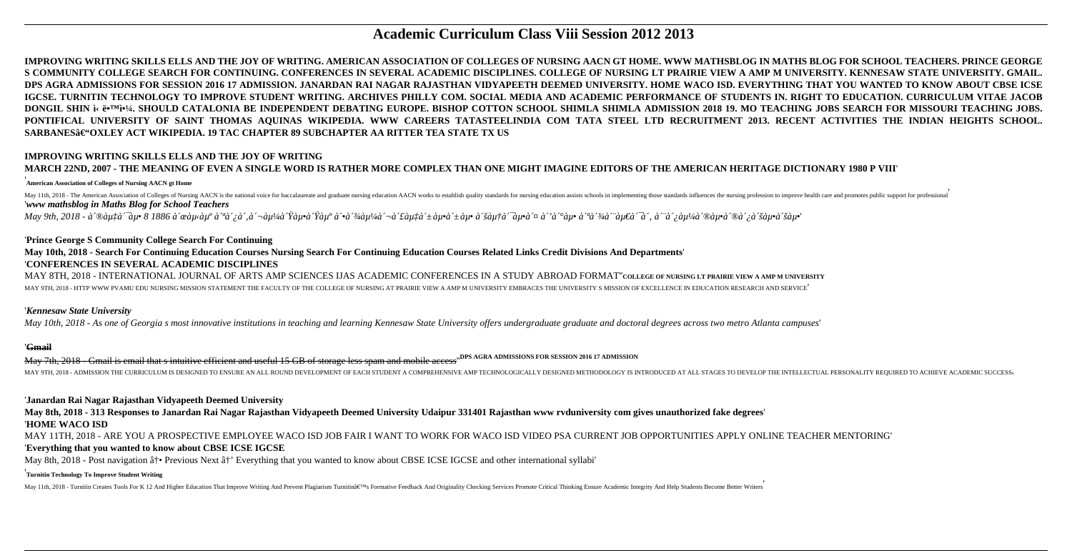# **Academic Curriculum Class Viii Session 2012 2013**

IMPROVING WRITING SKILLS ELLS AND THE JOY OF WRITING. AMERICAN ASSOCIATION OF COLLEGES OF NURSING AACN GT HOME. WWW MATHSBLOG IN MATHS BLOG FOR SCHOOL TEACHERS. PRINCE GEORGE S COMMUNITY COLLEGE SEARCH FOR CONTINUING. CONFERENCES IN SEVERAL ACADEMIC DISCIPLINES. COLLEGE OF NURSING LT PRAIRIE VIEW A AMP M UNIVERSITY. KENNESAW STATE UNIVERSITY. GMAIL, DPS AGRA ADMISSIONS FOR SESSION 2016 17 ADMISSION. JANARDAN RAI NAGAR RAJASTHAN VIDYAPEETH DEEMED UNIVERSITY. HOME WACO ISD. EVERYTHING THAT YOU WANTED TO KNOW ABOUT CBSE ICSE IGCSE. TURNITIN TECHNOLOGY TO IMPROVE STUDENT WRITING. ARCHIVES PHILLY COM. SOCIAL MEDIA AND ACADEMIC PERFORMANCE OF STUDENTS IN. RIGHT TO EDUCATION. CURRICULUM VITAE JACOB DONGIL SHIN i< ë\*™i•14, SHOULD CATALONIA BE INDEPENDENT DEBATING EUROPE. BISHOP COTTON SCHOOL SHIMLA SHIMLA ADMISSION 2018 19. MO TEACHING JOBS SEARCH FOR MISSOURI TEACHING JOBS. PONTIFICAL UNIVERSITY OF SAINT THOMAS AOUINAS WIKIPEDIA. WWW CAREERS TATASTEELINDIA COM TATA STEEL LTD RECRUITMENT 2013. RECENT ACTIVITIES THE INDIAN HEIGHTS SCHOOL. SARBANES–OXLEY ACT WIKIPEDIA. 19 TAC CHAPTER 89 SUBCHAPTER AA RITTER TEA STATE TX US

# **IMPROVING WRITING SKILLS ELLS AND THE JOY OF WRITING** MARCH 22ND, 2007 - THE MEANING OF EVEN A SINGLE WORD IS RATHER MORE COMPLEX THAN ONE MIGHT IMAGINE EDITORS OF THE AMERICAN HERITAGE DICTIONARY 1980 P VIII'

### .<br>American Association of Colleges of Nursing AACN gt Home

May 11th, 2018 - The American Association of Colleges of Nursing AACN is the national voice for baccalaureate and graduate nursing education AACN works to establish quality standards for nursing education assists schools i 'www mathsblog in Maths Blog for School Teachers

May 9th, 2018 - à ®àutà ´au• 8 1886 à ´œàu‹àuº à "à´¿à´,à´¬àuʲ/4à Ÿàu•à Ÿàuº à ^à "d´+àu+à´±àu•à´±àu•à ´ăau+à ´au•à ¤ à ´à ^a an•à ´an+à ´àu+à ´à ´;àu½à ´®àu•à ´®à'¿à ´šàu•à ´šàu•à ʿšàu•à ʿ

### 'Prince George S Community College Search For Continuing

## May 10th, 2018 - Search For Continuing Education Courses Nursing Search For Continuing Education Courses Related Links Credit Divisions And Departments' 'CONFERENCES IN SEVERAL ACADEMIC DISCIPLINES

MAY 8TH, 2018 - INTERNATIONAL JOURNAL OF ARTS AMP SCIENCES IJAS ACADEMIC CONFERENCES IN A STUDY ABROAD FORMAT"college of nursing lt prairie view a amp m university MAY 9TH, 2018 - HTTP WWW PVAMU EDU NURSING MISSION STATEMENT THE FACULTY OF THE COLLEGE OF NURSING AT PRAIRIE VIEW A AMP M UNIVERSITY EMBRACES THE UNIVERSITY S MISSION OF EXCELLENCE IN EDUCATION RESEARCH AND SERVICE

### 'Kennesaw State University

May 10th, 2018 - As one of Georgia s most innovative institutions in teaching and learning Kennesaw State University offers undergraduate graduate and doctoral degrees across two metro Atlanta campuses'

### '<del>Gmail</del>

May 7th, 2018 - Gmail is email that s intuitive efficient and useful 15 GB of storage less spam and mobile access"DPS AGRA ADMISSIONS FOR SESSION 2016 17 ADMISSION MAY 9TH, 2018 - ADMISSION THE CURRICULUM IS DESIGNED TO ENSURE AN ALL ROUND DEVELOPMENT OF EACH STUDENT A COMPREHENSIVE AMP TECHNOLOGICALLY DESIGNED METHODOLOGY IS INTRODUCED AT ALL STAGES TO DEVELOP THE INTELLECTUAL PERSO

### 'Janardan Rai Nagar Rajasthan Vidyapeeth Deemed University

May 8th, 2018 - 313 Responses to Janardan Rai Nagar Rajasthan Vidyapeeth Deemed University Udaipur 331401 Rajasthan www ryduniversity com gives unauthorized fake degrees **HOME WACO ISD** 

MAY 11TH, 2018 - ARE YOU A PROSPECTIVE EMPLOYEE WACO ISD JOB FAIR I WANT TO WORK FOR WACO ISD VIDEO PSA CURRENT JOB OPPORTUNITIES APPLY ONLINE TEACHER MENTORING' 'Everything that you wanted to know about CBSE ICSE IGCSE

May 8th, 2018 - Post navigation  $\hat{a}^{\dagger}$  Previous Next  $\hat{a}^{\dagger}$  Everything that you wanted to know about CBSE ICSE IGCSE and other international syllabi'

### **Turnitin Technology To Improve Student Writing**

May 11th, 2018 - Turnitin Creates Tools For K 12 And Higher Education That Improve Writing And Prevent Plagiarism Turnitin's Formative Feedback And Originality Checking Services Promote Critical Thinking Ensure Academic